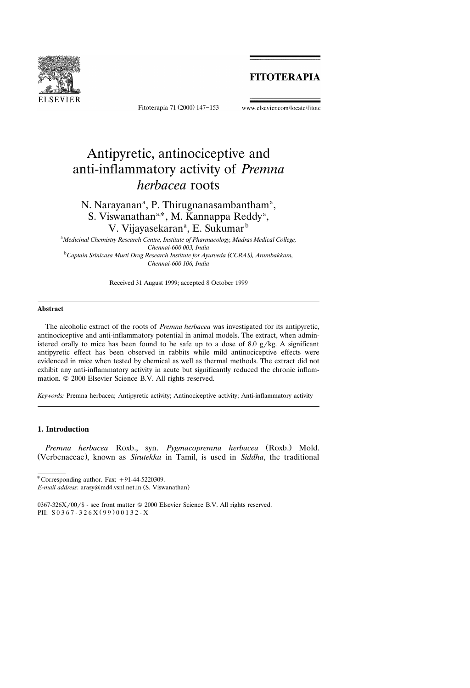# **FITOTERAPIA**



Fitoterapia 71 (2000) 147-153

#### www.elsevier.com/locate/fitote

# Antipyretic, antinociceptive and anti-inflammatory activity of *Premna herbacea* roots

# N. Narayanan<sup>a</sup>, P. Thirugnanasambantham<sup>a</sup>, S. Viswanathan<sup>a,\*</sup>, M. Kannappa Reddy<sup>a</sup>, V. Vijayasekaran<sup>a</sup>, E. Sukumar<sup>b</sup>

a *Medicinal Chemistry Research Centre, Institute of Pharmacology, Madras Medical College, Chennai-600 003, India* <sup>b</sup> *Captain Srini*¨*asa Murti Drug Research Institute for Ayur*¨*eda CCRAS , Arumbakkam, ( ) Chennai-600 106, India*

Received 31 August 1999; accepted 8 October 1999

### **Abstract**

The alcoholic extract of the roots of *Premna herbacea* was investigated for its antipyretic, antinociceptive and anti-inflammatory potential in animal models. The extract, when administered orally to mice has been found to be safe up to a dose of 8.0  $g/kg$ . A significant antipyretic effect has been observed in rabbits while mild antinociceptive effects were evidenced in mice when tested by chemical as well as thermal methods. The extract did not exhibit any anti-inflammatory activity in acute but significantly reduced the chronic inflammation.  $©$  2000 Elsevier Science B.V. All rights reserved.

*Keywords:* Premna herbacea; Antipyretic activity; Antinociceptive activity; Anti-inflammatory activity

# **1. Introduction**

Premna herbacea Roxb., syn. Pygmacopremna herbacea (Roxb.) Mold. (Verbenaceae), known as *Sirutekku* in Tamil, is used in *Siddha*, the traditional

 $^*$ Corresponding author. Fax:  $+91-44-5220309$ .

*E-mail address:* arasy@md4.vsnl.net.in (S. Viswanathan)

 $0367-326X/00$  /\$ - see front matter  $\odot$  2000 Elsevier Science B.V. All rights reserved. PII:  $S 0 3 6 7 - 3 2 6 X (99) 0 0 1 3 2 - X$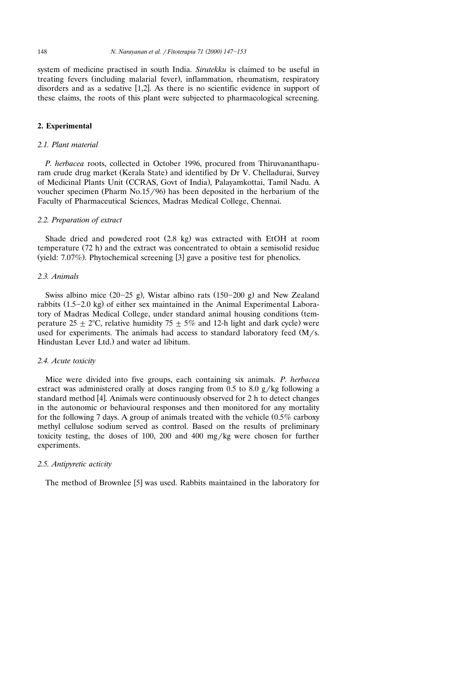system of medicine practised in south India. *Sirutekku* is claimed to be useful in treating fevers (including malarial fever), inflammation, rheumatism, respiratory disorders and as a sedative  $[1,2]$ . As there is no scientific evidence in support of these claims, the roots of this plant were subjected to pharmacological screening.

# **2. Experimental**

# *2.1. Plant material*

*P. herbacea* roots, collected in October 1996, procured from Thiruvananthapuram crude drug market (Kerala State) and identified by Dr V. Chelladurai, Survey of Medicinal Plants Unit (CCRAS, Govt of India), Palayamkottai, Tamil Nadu. A voucher specimen (Pharm  $No.15/96$ ) has been deposited in the herbarium of the Faculty of Pharmaceutical Sciences, Madras Medical College, Chennai.

# *2.2. Preparation of extract*

Shade dried and powdered root (2.8 kg) was extracted with EtOH at room temperature  $(72 h)$  and the extract was concentrated to obtain a semisolid residue (yield:  $7.07\%$ ). Phytochemical screening [3] gave a positive test for phenolics.

#### *2.3. Animals*

Swiss albino mice  $(20-25 \text{ g})$ , Wistar albino rats  $(150-200 \text{ g})$  and New Zealand rabbits  $(1.5-2.0 \text{ kg})$  of either sex maintained in the Animal Experimental Laboratory of Madras Medical College, under standard animal housing conditions (temperature 25  $\pm$  2°C, relative humidity 75  $\pm$  5% and 12-h light and dark cycle) were used for experiments. The animals had access to standard laboratory feed  $(M/s)$ . Hindustan Lever Ltd.) and water ad libitum.

# *2.4. Acute toxicity*

Mice were divided into five groups, each containing six animals. *P. herbacea* extract was administered orally at doses ranging from 0.5 to 8.0 g/kg following a standard method  $[4]$ . Animals were continuously observed for 2 h to detect changes in the autonomic or behavioural responses and then monitored for any mortality for the following 7 days. A group of animals treated with the vehicle  $(0.5\%$  carboxy methyl cellulose sodium served as control. Based on the results of preliminary toxicity testing, the doses of 100, 200 and 400 mg/kg were chosen for further experiments.

#### *2.5. Antipyretic acti*¨*ity*

The method of Brownlee  $[5]$  was used. Rabbits maintained in the laboratory for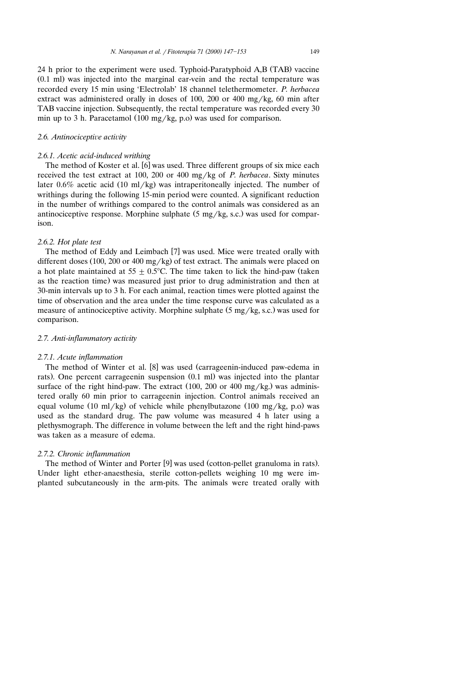24 h prior to the experiment were used. Typhoid-Paratyphoid A,B (TAB) vaccine  $(0.1 \text{ ml})$  was injected into the marginal ear-vein and the rectal temperature was recorded every 15 min using 'Electrolab' 18 channel telethermometer. *P. herbacea* extract was administered orally in doses of 100, 200 or 400 mg/kg, 60 min after TAB vaccine injection. Subsequently, the rectal temperature was recorded every 30 min up to 3 h. Paracetamol  $(100 \text{ mg/kg}, \text{p.o})$  was used for comparison.

# *2.6. Antinocicepti*¨*e acti*¨*ity*

#### *2.6.1. Acetic acid-induced writhing*

The method of Koster et al.  $[6]$  was used. Three different groups of six mice each received the test extract at 100, 200 or 400 mg/kg of *P. herbacea*. Sixty minutes later 0.6% acetic acid (10 ml/kg) was intraperitoneally injected. The number of writhings during the following 15-min period were counted. A significant reduction in the number of writhings compared to the control animals was considered as an antinociceptive response. Morphine sulphate  $(5 \text{ mg/kg}, \text{s.c.})$  was used for comparison.

# *2.6.2. Hot plate test*

The method of Eddy and Leimbach [7] was used. Mice were treated orally with different doses (100, 200 or 400 mg/kg) of test extract. The animals were placed on a hot plate maintained at  $55 \pm 0.5^{\circ}$ C. The time taken to lick the hind-paw (taken as the reaction time) was measured just prior to drug administration and then at 30-min intervals up to 3 h. For each animal, reaction times were plotted against the time of observation and the area under the time response curve was calculated as a measure of antinociceptive activity. Morphine sulphate  $(5 \text{ mg/kg}, \text{s.c.})$  was used for comparison.

# *2.7. Anti-inflammatory acti*¨*ity*

#### *2.7.1. Acute inflammation*

The method of Winter et al. [8] was used (carrageenin-induced paw-edema in rats). One percent carrageenin suspension  $(0.1 \text{ ml})$  was injected into the plantar surface of the right hind-paw. The extract  $(100, 200 \text{ or } 400 \text{ mg/kg})$  was administered orally 60 min prior to carrageenin injection. Control animals received an equal volume (10 ml/kg) of vehicle while phenylbutazone (100 mg/kg, p.o) was used as the standard drug. The paw volume was measured 4 h later using a plethysmograph. The difference in volume between the left and the right hind-paws was taken as a measure of edema.

#### *2.7.2. Chronic inflammation*

The method of Winter and Porter  $[9]$  was used (cotton-pellet granuloma in rats). Under light ether-anaesthesia, sterile cotton-pellets weighing 10 mg were implanted subcutaneously in the arm-pits. The animals were treated orally with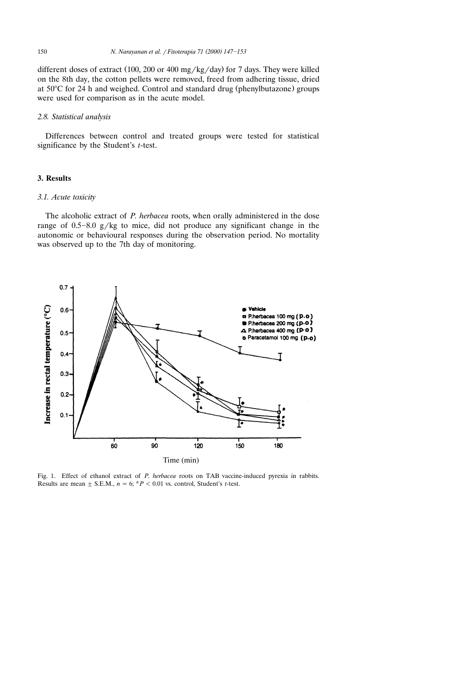different doses of extract  $(100, 200 \text{ or } 400 \text{ mg/kg/day})$  for 7 days. They were killed on the 8th day, the cotton pellets were removed, freed from adhering tissue, dried at  $50^{\circ}$ C for 24 h and weighed. Control and standard drug (phenylbutazone) groups were used for comparison as in the acute model.

## *2.8. Statistical analysis*

Differences between control and treated groups were tested for statistical significance by the Student's *t*-test.

# **3. Results**

#### *3.1. Acute toxicity*

The alcoholic extract of *P. herbacea* roots, when orally administered in the dose range of  $0.5-8.0$  g/kg to mice, did not produce any significant change in the autonomic or behavioural responses during the observation period. No mortality was observed up to the 7th day of monitoring.



Fig. 1. Effect of ethanol extract of *P. herbacea* roots on TAB vaccine-induced pyrexia in rabbits. Results are mean  $\pm$  S.E.M.,  $n = 6$ ;  $*P < 0.01$  vs. control, Student's *t*-test.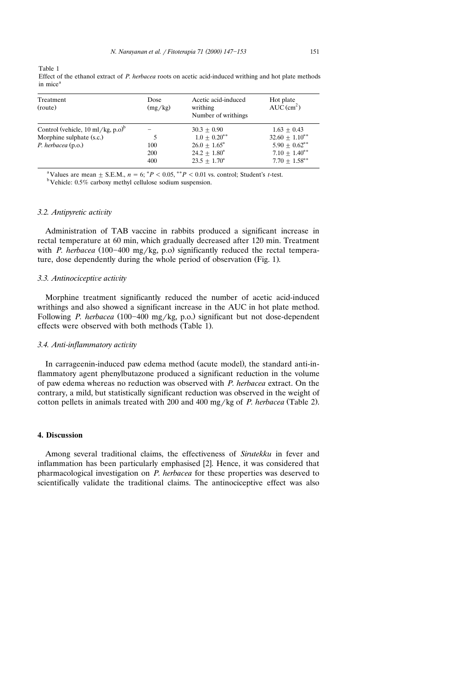Table 1 Effect of the ethanol extract of *P. herbacea* roots on acetic acid-induced writhing and hot plate methods

| in mice <sup>a</sup> |         |                     |                          |
|----------------------|---------|---------------------|--------------------------|
| Treatment            | Dose    | Acetic acid-induced | Hot plate                |
| (route)              | (mg/kg) | writhing            | $AUC$ (cm <sup>2</sup> ) |

| (route)                                                  | (mg/kg) | $-0.000$<br>$AUC$ (cm <sup>2</sup> )<br>writhing<br>Number of writhings |                     |
|----------------------------------------------------------|---------|-------------------------------------------------------------------------|---------------------|
| Control (vehicle, $10 \text{ ml/kg}, p.o$ ) <sup>o</sup> |         | $30.3 + 0.90$                                                           | $1.63 + 0.43$       |
| Morphine sulphate (s.c.)                                 |         | $1.0 + 0.20^{**}$                                                       | $32.60 + 1.10^{**}$ |
| $P.$ herbacea $(p.o.)$                                   | 100     | $26.0 + 1.65^*$                                                         | $5.90 + 0.62^{**}$  |
|                                                          | 200     | $24.2 + 1.80^*$                                                         | $7.10 + 1.40$ **    |
|                                                          | 400     | $23.5 + 1.70^*$                                                         | $7.70 + 1.58$ **    |
|                                                          |         |                                                                         |                     |

<sup>a</sup> Values are mean  $\pm$  S.E.M.,  $n = 6$ ;  ${}^{*}P$  < 0.05,  ${}^{**}P$  < 0.01 vs. control; Student's *t*-test. b<sup>b</sup> Vehicle: 0.5% carboxy methyl cellulose sodium suspension.

#### *3.2. Antipyretic acti*¨*ity*

Administration of TAB vaccine in rabbits produced a significant increase in rectal temperature at 60 min, which gradually decreased after 120 min. Treatment with *P. herbacea* (100-400 mg/kg, p.o) significantly reduced the rectal temperature, dose dependently during the whole period of observation (Fig. 1).

# *3.3. Antinocicepti*¨*e acti*¨*ity*

Morphine treatment significantly reduced the number of acetic acid-induced writhings and also showed a significant increase in the AUC in hot plate method. Following *P. herbacea* (100–400 mg/kg, p.o.) significant but not dose-dependent effects were observed with both methods (Table 1).

#### *3.4. Anti-inflammatory acti*¨*ity*

In carrageenin-induced paw edema method (acute model), the standard anti-inflammatory agent phenylbutazone produced a significant reduction in the volume of paw edema whereas no reduction was observed with *P. herbacea* extract. On the contrary, a mild, but statistically significant reduction was observed in the weight of cotton pellets in animals treated with 200 and 400 mg/kg of *P. herbacea* (Table 2).

# **4. Discussion**

Among several traditional claims, the effectiveness of *Sirutekku* in fever and inflammation has been particularly emphasised  $[2]$ . Hence, it was considered that pharmacological investigation on *P. herbacea* for these properties was deserved to scientifically validate the traditional claims. The antinociceptive effect was also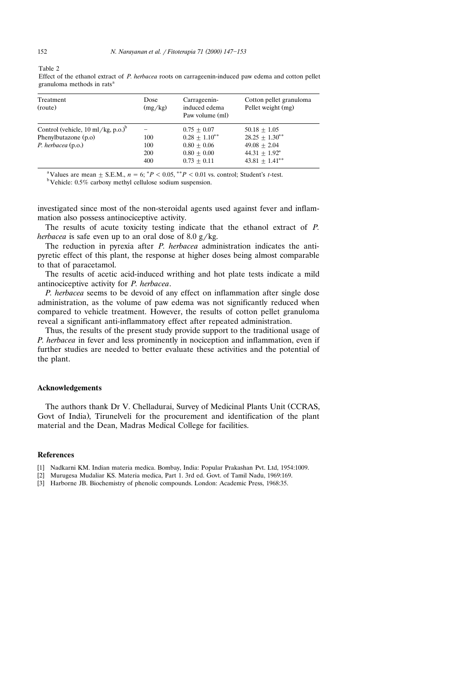| Treatment<br>(route)                                 | Dose<br>(mg/kg) | Carrageenin-<br>induced edema<br>Paw volume (ml) | Cotton pellet granuloma<br>Pellet weight (mg) |  |  |
|------------------------------------------------------|-----------------|--------------------------------------------------|-----------------------------------------------|--|--|
| Control (vehicle, $10 \text{ ml/kg}, p.o.^{\circ}$ ) |                 | $0.75 + 0.07$                                    | $50.18 + 1.05$                                |  |  |
| Phenylbutazone (p.o)                                 | 100             | $0.28 + 1.10^{**}$                               | $28.25 + 1.30^{**}$                           |  |  |
| P. herbacea (p.o.)                                   | 100             | $0.80 + 0.06$                                    | $49.08 + 2.04$                                |  |  |

Effect of the ethanol extract of *P. herbacea* roots on carrageenin-induced paw edema and cotton pellet granuloma methods in rats<sup>a</sup>

<sup>a</sup> Values are mean  $\pm$  S.E.M.,  $n = 6$ ;  ${}^{*}P$  < 0.05,  ${}^{**}P$  < 0.01 vs. control; Student's *t*-test. b<sup>b</sup> Vehicle: 0.5% carboxy methyl cellulose sodium suspension.

investigated since most of the non-steroidal agents used against fever and inflammation also possess antinociceptive activity.

200  $0.80 \pm 0.00$   $44.31 \pm 1.92^*$ <br>400  $0.73 \pm 0.11$   $43.81 \pm 1.41^*$ 

44.31  $\pm$  1.92\*

The results of acute toxicity testing indicate that the ethanol extract of *P. herbacea* is safe even up to an oral dose of 8.0  $g/kg$ .

The reduction in pyrexia after *P. herbacea* administration indicates the antipyretic effect of this plant, the response at higher doses being almost comparable to that of paracetamol.

The results of acetic acid-induced writhing and hot plate tests indicate a mild antinociceptive activity for *P. herbacea*.

*P. herbacea* seems to be devoid of any effect on inflammation after single dose administration, as the volume of paw edema was not significantly reduced when compared to vehicle treatment. However, the results of cotton pellet granuloma reveal a significant anti-inflammatory effect after repeated administration.

Thus, the results of the present study provide support to the traditional usage of *P. herbacea* in fever and less prominently in nociception and inflammation, even if further studies are needed to better evaluate these activities and the potential of the plant.

#### **Acknowledgements**

The authors thank Dr V. Chelladurai, Survey of Medicinal Plants Unit CCRAS, Ž Govt of India). Tirunelveli for the procurement and identification of the plant material and the Dean, Madras Medical College for facilities.

#### **References**

- [1] Nadkarni KM. Indian materia medica. Bombay, India: Popular Prakashan Pvt. Ltd, 1954:1009.
- [2] Murugesa Mudaliar KS. Materia medica, Part 1. 3rd ed. Govt. of Tamil Nadu, 1969:169.
- [3] Harborne JB. Biochemistry of phenolic compounds. London: Academic Press, 1968:35.

Table 2